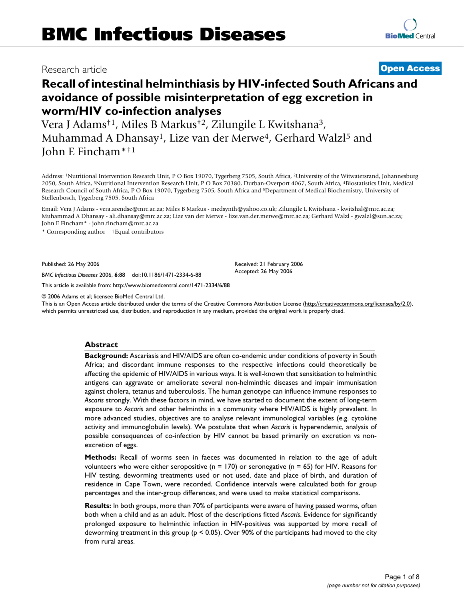# Research article **[Open Access](http://www.biomedcentral.com/info/about/charter/)**

# **Recall of intestinal helminthiasis by HIV-infected South Africans and avoidance of possible misinterpretation of egg excretion in worm/HIV co-infection analyses**

Vera J Adams†1, Miles B Markus†2, Zilungile L Kwitshana3, Muhammad A Dhansay<sup>1</sup>, Lize van der Merwe<sup>4</sup>, Gerhard Walzl<sup>5</sup> and John E Fincham\*†1

Address: 1Nutritional Intervention Research Unit, P O Box 19070, Tygerberg 7505, South Africa, 2University of the Witwatersrand, Johannesburg 2050, South Africa, 3Nutritional Intervention Research Unit, P O Box 70380, Durban-Overport 4067, South Africa, 4Biostatistics Unit, Medical Research Council of South Africa, P O Box 19070, Tygerberg 7505, South Africa and 5Department of Medical Biochemistry, University of Stellenbosch, Tygerberg 7505, South Africa

Email: Vera J Adams - vera.arendse@mrc.ac.za; Miles B Markus - medsynth@yahoo.co.uk; Zilungile L Kwitshana - kwitshal@mrc.ac.za; Muhammad A Dhansay - ali.dhansay@mrc.ac.za; Lize van der Merwe - lize.van.der.merwe@mrc.ac.za; Gerhard Walzl - gwalzl@sun.ac.za; John E Fincham\* - john.fincham@mrc.ac.za

\* Corresponding author †Equal contributors

Published: 26 May 2006

*BMC Infectious Diseases* 2006, **6**:88 doi:10.1186/1471-2334-6-88

[This article is available from: http://www.biomedcentral.com/1471-2334/6/88](http://www.biomedcentral.com/1471-2334/6/88)

© 2006 Adams et al; licensee BioMed Central Ltd.

This is an Open Access article distributed under the terms of the Creative Commons Attribution License [\(http://creativecommons.org/licenses/by/2.0\)](http://creativecommons.org/licenses/by/2.0), which permits unrestricted use, distribution, and reproduction in any medium, provided the original work is properly cited.

#### **Abstract**

**Background:** Ascariasis and HIV/AIDS are often co-endemic under conditions of poverty in South Africa; and discordant immune responses to the respective infections could theoretically be affecting the epidemic of HIV/AIDS in various ways. It is well-known that sensitisation to helminthic antigens can aggravate or ameliorate several non-helminthic diseases and impair immunisation against cholera, tetanus and tuberculosis. The human genotype can influence immune responses to *Ascaris* strongly. With these factors in mind, we have started to document the extent of long-term exposure to *Ascaris* and other helminths in a community where HIV/AIDS is highly prevalent. In more advanced studies, objectives are to analyse relevant immunological variables (e.g. cytokine activity and immunoglobulin levels). We postulate that when *Ascaris* is hyperendemic, analysis of possible consequences of co-infection by HIV cannot be based primarily on excretion vs nonexcretion of eggs.

**Methods:** Recall of worms seen in faeces was documented in relation to the age of adult volunteers who were either seropositive ( $n = 170$ ) or seronegative ( $n = 65$ ) for HIV. Reasons for HIV testing, deworming treatments used or not used, date and place of birth, and duration of residence in Cape Town, were recorded. Confidence intervals were calculated both for group percentages and the inter-group differences, and were used to make statistical comparisons.

**Results:** In both groups, more than 70% of participants were aware of having passed worms, often both when a child and as an adult. Most of the descriptions fitted *Ascaris*. Evidence for significantly prolonged exposure to helminthic infection in HIV-positives was supported by more recall of deworming treatment in this group (p < 0.05). Over 90% of the participants had moved to the city from rural areas.

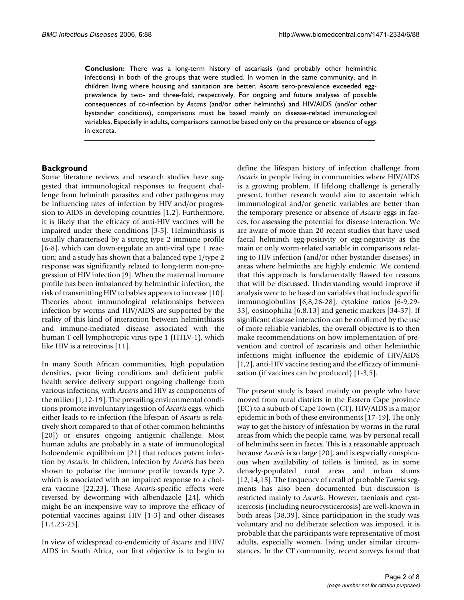**Conclusion:** There was a long-term history of ascariasis (and probably other helminthic infections) in both of the groups that were studied. In women in the same community, and in children living where housing and sanitation are better, *Ascaris* sero-prevalence exceeded eggprevalence by two- and three-fold, respectively. For ongoing and future analyses of possible consequences of co-infection by *Ascaris* (and/or other helminths) and HIV/AIDS (and/or other bystander conditions), comparisons must be based mainly on disease-related immunological variables. Especially in adults, comparisons cannot be based only on the presence or absence of eggs in excreta.

### **Background**

Some literature reviews and research studies have suggested that immunological responses to frequent challenge from helminth parasites and other pathogens may be influencing rates of infection by HIV and/or progression to AIDS in developing countries [1,2]. Furthermore, it is likely that the efficacy of anti-HIV vaccines will be impaired under these conditions [3-5]. Helminthiasis is usually characterised by a strong type 2 immune profile [6-8], which can down-regulate an anti-viral type 1 reaction; and a study has shown that a balanced type 1/type 2 response was significantly related to long-term non-progression of HIV infection [9]. When the maternal immune profile has been imbalanced by helminthic infection, the risk of transmitting HIV to babies appears to increase [10]. Theories about immunological relationships between infection by worms and HIV/AIDS are supported by the reality of this kind of interaction between helminthiasis and immune-mediated disease associated with the human T cell lymphotropic virus type 1 (HTLV-1), which like HIV is a retrovirus [11].

In many South African communities, high population densities, poor living conditions and deficient public health service delivery support ongoing challenge from various infections, with *Ascaris* and HIV as components of the milieu [1,12-19]. The prevailing environmental conditions promote involuntary ingestion of *Ascaris* eggs, which either leads to re-infection (the lifespan of *Ascaris* is relatively short compared to that of other common helminths [20]) or ensures ongoing antigenic challenge. Most human adults are probably in a state of immunological holoendemic equilibrium [21] that reduces patent infection by *Ascaris*. In children, infection by *Ascaris* has been shown to polarise the immune profile towards type 2, which is associated with an impaired response to a cholera vaccine [22,23]. These *Ascaris*-specific effects were reversed by deworming with albendazole [24], which might be an inexpensive way to improve the efficacy of potential vaccines against HIV [1-3] and other diseases [1,4,23-25].

In view of widespread co-endemicity of *Ascaris* and HIV/ AIDS in South Africa, our first objective is to begin to

define the lifespan history of infection challenge from *Ascaris* in people living in communities where HIV/AIDS is a growing problem. If lifelong challenge is generally present, further research would aim to ascertain which immunological and/or genetic variables are better than the temporary presence or absence of *Ascaris* eggs in faeces, for assessing the potential for disease interaction. We are aware of more than 20 recent studies that have used faecal helminth egg-positivity or egg-negativity as the main or only worm-related variable in comparisons relating to HIV infection (and/or other bystander diseases) in areas where helminths are highly endemic. We contend that this approach is fundamentally flawed for reasons that will be discussed. Understanding would improve if analysis were to be based on variables that include specific immunoglobulins [6,8,26-28], cytokine ratios [6-9,29- 33], eosinophilia [6,8,13] and genetic markers [34-37]. If significant disease interaction can be confirmed by the use of more reliable variables, the overall objective is to then make recommendations on how implementation of prevention and control of ascariasis and other helminthic infections might influence the epidemic of HIV/AIDS [1,2], anti-HIV vaccine testing and the efficacy of immunisation (if vaccines can be produced) [1-3,5].

The present study is based mainly on people who have moved from rural districts in the Eastern Cape province (EC) to a suburb of Cape Town (CT). HIV/AIDS is a major epidemic in both of these environments [17-19]. The only way to get the history of infestation by worms in the rural areas from which the people came, was by personal recall of helminths seen in faeces. This is a reasonable approach because *Ascaris* is so large [20], and is especially conspicuous when availability of toilets is limited, as in some densely-populated rural areas and urban slums [12,14,15]. The frequency of recall of probable *Taenia* segments has also been documented but discussion is restricted mainly to *Ascaris*. However, taeniasis and cysticercosis (including neurocysticercosis) are well-known in both areas [38,39]. Since participation in the study was voluntary and no deliberate selection was imposed, it is probable that the participants were representative of most adults, especially women, living under similar circumstances. In the CT community, recent surveys found that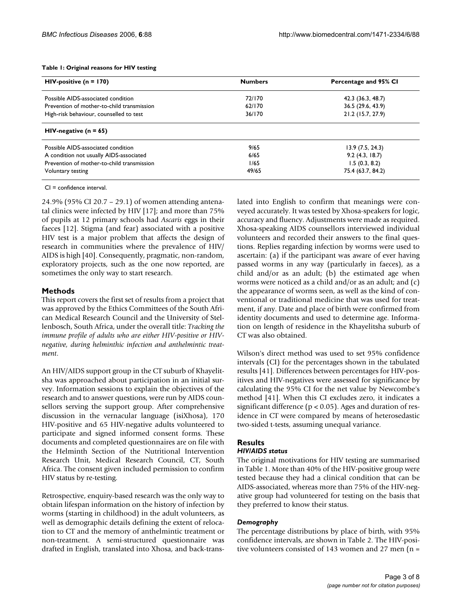#### **Table 1: Original reasons for HIV testing**

| $HIV$ -positive (n = 170)                  | <b>Numbers</b> | Percentage and 95% CI |  |  |
|--------------------------------------------|----------------|-----------------------|--|--|
| Possible AIDS-associated condition         | 72/170         | 42.3 (36.3, 48.7)     |  |  |
| Prevention of mother-to-child transmission | 62/170         | 36.5 (29.6, 43.9)     |  |  |
| High-risk behaviour, counselled to test    | 36/170         | 21.2 (15.7, 27.9)     |  |  |
| HIV-negative ( $n = 65$ )                  |                |                       |  |  |
| Possible AIDS-associated condition         | 9/65           | 13.9(7.5, 24.3)       |  |  |
| A condition not usually AIDS-associated    | 6/65           | 9.2(4.3, 18.7)        |  |  |
| Prevention of mother-to-child transmission | 1/65           | 1.5(0.3, 8.2)         |  |  |
| Voluntary testing                          | 49/65          | 75.4 (63.7, 84.2)     |  |  |

CI = confidence interval.

24.9% (95% CI 20.7 – 29.1) of women attending antenatal clinics were infected by HIV [17]; and more than 75% of pupils at 12 primary schools had *Ascaris* eggs in their faeces [12]. Stigma (and fear) associated with a positive HIV test is a major problem that affects the design of research in communities where the prevalence of HIV/ AIDS is high [40]. Consequently, pragmatic, non-random, exploratory projects, such as the one now reported, are sometimes the only way to start research.

# **Methods**

This report covers the first set of results from a project that was approved by the Ethics Committees of the South African Medical Research Council and the University of Stellenbosch, South Africa, under the overall title: *Tracking the immune profile of adults who are either HIV-positive or HIVnegative, during helminthic infection and anthelmintic treatment*.

An HIV/AIDS support group in the CT suburb of Khayelitsha was approached about participation in an initial survey. Information sessions to explain the objectives of the research and to answer questions, were run by AIDS counsellors serving the support group. After comprehensive discussion in the vernacular language (isiXhosa), 170 HIV-positive and 65 HIV-negative adults volunteered to participate and signed informed consent forms. These documents and completed questionnaires are on file with the Helminth Section of the Nutritional Intervention Research Unit, Medical Research Council, CT, South Africa. The consent given included permission to confirm HIV status by re-testing.

Retrospective, enquiry-based research was the only way to obtain lifespan information on the history of infection by worms (starting in childhood) in the adult volunteers, as well as demographic details defining the extent of relocation to CT and the memory of anthelmintic treatment or non-treatment. A semi-structured questionnaire was drafted in English, translated into Xhosa, and back-translated into English to confirm that meanings were conveyed accurately. It was tested by Xhosa-speakers for logic, accuracy and fluency. Adjustments were made as required. Xhosa-speaking AIDS counsellors interviewed individual volunteers and recorded their answers to the final questions. Replies regarding infection by worms were used to ascertain: (a) if the participant was aware of ever having passed worms in any way (particularly in faeces), as a child and/or as an adult; (b) the estimated age when worms were noticed as a child and/or as an adult; and (c) the appearance of worms seen, as well as the kind of conventional or traditional medicine that was used for treatment, if any. Date and place of birth were confirmed from identity documents and used to determine age. Information on length of residence in the Khayelitsha suburb of CT was also obtained.

Wilson's direct method was used to set 95% confidence intervals (CI) for the percentages shown in the tabulated results [41]. Differences between percentages for HIV-positives and HIV-negatives were assessed for significance by calculating the 95% CI for the net value by Newcombe's method [41]. When this CI excludes zero, it indicates a significant difference ( $p < 0.05$ ). Ages and duration of residence in CT were compared by means of heterosedastic two-sided t-tests, assuming unequal variance.

# **Results**

#### *HIV/AIDS status*

The original motivations for HIV testing are summarised in Table 1. More than 40% of the HIV-positive group were tested because they had a clinical condition that can be AIDS-associated, whereas more than 75% of the HIV-negative group had volunteered for testing on the basis that they preferred to know their status.

# *Demography*

The percentage distributions by place of birth, with 95% confidence intervals, are shown in Table 2. The HIV-positive volunteers consisted of 143 women and 27 men (n =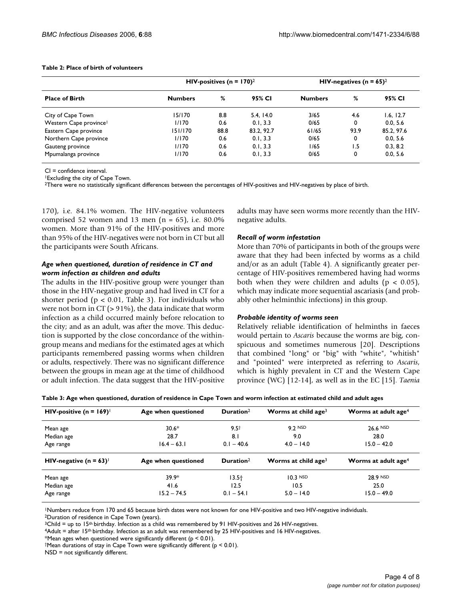#### **Table 2: Place of birth of volunteers**

| <b>Place of Birth</b>              | HIV-positives ( $n = 170$ ) <sup>2</sup> |      | HIV-negatives ( $n = 65$ ) <sup>2</sup> |                |      |            |
|------------------------------------|------------------------------------------|------|-----------------------------------------|----------------|------|------------|
|                                    | <b>Numbers</b>                           | %    | 95% CI                                  | <b>Numbers</b> | %    | 95% CI     |
| City of Cape Town                  | 15/170                                   | 8.8  | 5.4, 14.0                               | 3/65           | 4.6  | 1.6, 12.7  |
| Western Cape province <sup>1</sup> | 1/170                                    | 0.6  | 0.1.3.3                                 | 0/65           | 0    | 0.0.5.6    |
| Eastern Cape province              | 151/170                                  | 88.8 | 83.2, 92.7                              | 61/65          | 93.9 | 85.2, 97.6 |
| Northern Cape province             | 1/170                                    | 0.6  | 0.1.3.3                                 | 0/65           | 0    | 0.0, 5.6   |
| Gauteng province                   | 1/170                                    | 0.6  | 0.1.3.3                                 | 1/65           | ۱.5  | 0.3, 8.2   |
| Mpumalanga province                | 1/170<br>0.6<br>0.1, 3.3                 |      |                                         | 0/65           | 0    | 0.0, 5.6   |

CI = confidence interval.

1Excluding the city of Cape Town.

<sup>2</sup>There were no statistically significant differences between the percentages of HIV-positives and HIV-negatives by place of birth.

170), i.e. 84.1% women. The HIV-negative volunteers comprised 52 women and 13 men ( $n = 65$ ), i.e. 80.0% women. More than 91% of the HIV-positives and more than 95% of the HIV-negatives were not born in CT but all the participants were South Africans.

### *Age when questioned, duration of residence in CT and worm infection as children and adults*

The adults in the HIV-positive group were younger than those in the HIV-negative group and had lived in CT for a shorter period ( $p < 0.01$ , Table 3). For individuals who were not born in CT (> 91%), the data indicate that worm infection as a child occurred mainly before relocation to the city; and as an adult, was after the move. This deduction is supported by the close concordance of the withingroup means and medians for the estimated ages at which participants remembered passing worms when children or adults, respectively. There was no significant difference between the groups in mean age at the time of childhood or adult infection. The data suggest that the HIV-positive adults may have seen worms more recently than the HIVnegative adults.

#### *Recall of worm infestation*

More than 70% of participants in both of the groups were aware that they had been infected by worms as a child and/or as an adult (Table 4). A significantly greater percentage of HIV-positives remembered having had worms both when they were children and adults ( $p < 0.05$ ), which may indicate more sequential ascariasis (and probably other helminthic infections) in this group.

#### *Probable identity of worms seen*

Relatively reliable identification of helminths in faeces would pertain to *Ascaris* because the worms are big, conspicuous and sometimes numerous [20]. Descriptions that combined "long" or "big" with "white", "whitish" and "pointed" were interpreted as referring to *Ascaris*, which is highly prevalent in CT and the Western Cape province (WC) [12-14], as well as in the EC [15]. *Taenia*

| HIV-positive (n = $169$ ) <sup><math>\text{ }</math></sup> | Age when questioned | Duration $2$          | Worms at child age <sup>3</sup> | Worms at adult age <sup>4</sup> |
|------------------------------------------------------------|---------------------|-----------------------|---------------------------------|---------------------------------|
| Mean age                                                   | $30.6*$             | 9.5 <sup>†</sup>      | $9.2$ NSD                       | 26.6 NSD                        |
| Median age                                                 | 28.7                | 8.I                   | 9.0                             | 28.0                            |
| Age range                                                  | $16.4 - 63.1$       | $0.1 - 40.6$          | $4.0 - 14.0$                    | $15.0 - 42.0$                   |
| HIV-negative ( $n = 63$ )                                  | Age when questioned | Duration <sup>2</sup> | Worms at child age <sup>3</sup> | Worms at adult age <sup>4</sup> |

**Table 3: Age when questioned, duration of residence in Cape Town and worm infection at estimated child and adult ages**

1Numbers reduce from 170 and 65 because birth dates were not known for one HIV-positive and two HIV-negative individuals.

Mean age and the state  $39.9^*$  13.5 $\dagger$  10.3 NSD 28.9 NSD 28.9 NSD Median age 41.6 12.5 10.5 25.0 Age range 15.2 – 74.5 0.1 – 54.1 5.0 – 14.0 15.0 – 49.0 15.0 – 49.0 15.0 – 49.0 15.0 – 49.0 15.0 – 49.0 15.0 – 49.0 15.0 – 49.0 15.0 – 49.0 15.0 – 49.0 15.0 – 49.0 15.0 – 49.0 15.0 – 49.0 15.0 – 49.0 15.0 – 49.0 15.0 – 49.

2Duration of residence in Cape Town (years).

 $3$ Child = up to 15<sup>th</sup> birthday. Infection as a child was remembered by 91 HIV-positives and 26 HIV-negatives.

<sup>4</sup>Adult = after 15<sup>th</sup> birthday. Infection as an adult was remembered by 25 HIV-positives and 16 HIV-negatives.

\*Mean ages when questioned were significantly different ( $p < 0.01$ ).

†Mean durations of stay in Cape Town were significantly different (p < 0.01).

NSD = not significantly different.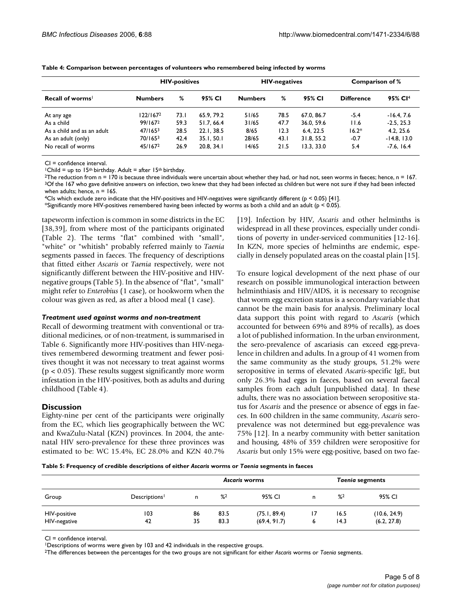| Recall of worms <sup>1</sup> |                     | <b>HIV-positives</b> |            |                | <b>HIV-negatives</b> |            | Comparison of %   |                     |
|------------------------------|---------------------|----------------------|------------|----------------|----------------------|------------|-------------------|---------------------|
|                              | <b>Numbers</b>      | %                    | 95% CI     | <b>Numbers</b> | %                    | 95% CI     | <b>Difference</b> | 95% CI <sup>4</sup> |
| At any age                   | 122/1672            | 73. I                | 65.9, 79.2 | 51/65          | 78.5                 | 67.0, 86.7 | $-5.4$            | $-16.4.7.6$         |
| As a child                   | 99/1672             | 59.3                 | 51.7, 66.4 | 31/65          | 47.7                 | 36.0, 59.6 | 11.6              | $-2.5.25.3$         |
| As a child and as an adult   | 47/165 <sup>3</sup> | 28.5                 | 22.1.38.5  | 8/65           | 12.3                 | 6.4.22.5   | $16.2*$           | 4.2, 25.6           |
| As an adult (only)           | 70/1653             | 42.4                 | 35.1.50.1  | 28/65          | 43.1                 | 31.8, 55.2 | $-0.7$            | $-14.8, 13.0$       |
| No recall of worms           | 45/167 <sup>2</sup> | 26.9                 | 20.8, 34.1 | 14/65          | 21.5                 | 13.3.33.0  | 5.4               | $-7.6, 16.4$        |

**Table 4: Comparison between percentages of volunteers who remembered being infected by worms**

CI = confidence interval.

<sup>1</sup>Child = up to 15<sup>th</sup> birthday. Adult = after 15<sup>th</sup> birthday.

<sup>2</sup>The reduction from  $n = 170$  is because three individuals were uncertain about whether they had, or had not, seen worms in faeces; hence,  $n = 167$ . <sup>3</sup>Of the 167 who gave definitive answers on infection, two knew that they had been infected as children but were not sure if they had been infected when adults; hence,  $n = 165$ .

 $4C$ Is which exclude zero indicate that the HIV-positives and HIV-negatives were significantly different ( $p < 0.05$ ) [41].

\*Significantly more HIV-positives remembered having been infected by worms as both a child and an adult ( $p < 0.05$ ).

tapeworm infection is common in some districts in the EC [38,39], from where most of the participants originated (Table 2). The terms "flat" combined with "small", "white" or "whitish" probably referred mainly to *Taenia* segments passed in faeces. The frequency of descriptions that fitted either *Ascaris* or *Taenia* respectively, were not significantly different between the HIV-positive and HIVnegative groups (Table 5). In the absence of "flat", "small" might refer to *Enterobius* (1 case), or hookworm when the colour was given as red, as after a blood meal (1 case).

#### *Treatment used against worms and non-treatment*

Recall of deworming treatment with conventional or traditional medicines, or of non-treatment, is summarised in Table 6. Significantly more HIV-positives than HIV-negatives remembered deworming treatment and fewer positives thought it was not necessary to treat against worms  $(p < 0.05)$ . These results suggest significantly more worm infestation in the HIV-positives, both as adults and during childhood (Table 4).

# **Discussion**

Eighty-nine per cent of the participants were originally from the EC, which lies geographically between the WC and KwaZulu-Natal (KZN) provinces. In 2004, the antenatal HIV sero-prevalence for these three provinces was estimated to be: WC 15.4%, EC 28.0% and KZN 40.7% [19]. Infection by HIV, *Ascaris* and other helminths is widespread in all these provinces, especially under conditions of poverty in under-serviced communities [12[-16](#page-7-0)]. In KZN, more species of helminths are endemic, especially in densely populated areas on the coastal plain [15].

To ensure logical development of the next phase of our research on possible immunological interaction between helminthiasis and HIV/AIDS, it is necessary to recognise that worm egg excretion status is a secondary variable that cannot be the main basis for analysis. Preliminary local data support this point with regard to *Ascaris* (which accounted for between 69% and 89% of recalls), as does a lot of published information. In the urban environment, the sero-prevalence of ascariasis can exceed egg-prevalence in children and adults. In a group of 41 women from the same community as the study groups, 51.2% were seropositive in terms of elevated *Ascaris*-specific IgE, but only 26.3% had eggs in faeces, based on several faecal samples from each adult [unpublished data]. In these adults, there was no association between seropositive status for *Ascaris* and the presence or absence of eggs in faeces. In 600 children in the same community, *Ascaris* seroprevalence was not determined but egg-prevalence was 75% [12]. In a nearby community with better sanitation and housing, 48% of 359 children were seropositive for *Ascaris* but only 15% were egg-positive, based on two fae-

**Table 5: Frequency of credible descriptions of either** *Ascaris* **worms or** *Taenia* **segments in faeces**

|                              |              | Ascaris worms |               |                              |         | <b>Taenia segments</b> |                             |  |  |
|------------------------------|--------------|---------------|---------------|------------------------------|---------|------------------------|-----------------------------|--|--|
| Group                        | Descriptions | n             | $\frac{9}{2}$ | 95% CI                       | n.      | $\frac{9}{2}$          | 95% CI                      |  |  |
| HIV-positive<br>HIV-negative | 103<br>42    | 86<br>35      | 83.5<br>83.3  | (75.1, 89.4)<br>(69.4, 91.7) | 17<br>ь | 16.5<br>14.3           | (10.6, 24.9)<br>(6.2, 27.8) |  |  |

CI = confidence interval.

<sup>1</sup>Descriptions of worms were given by 103 and 42 individuals in the respective groups.

2The differences between the percentages for the two groups are not significant for either *Ascaris* worms or *Taenia* segments.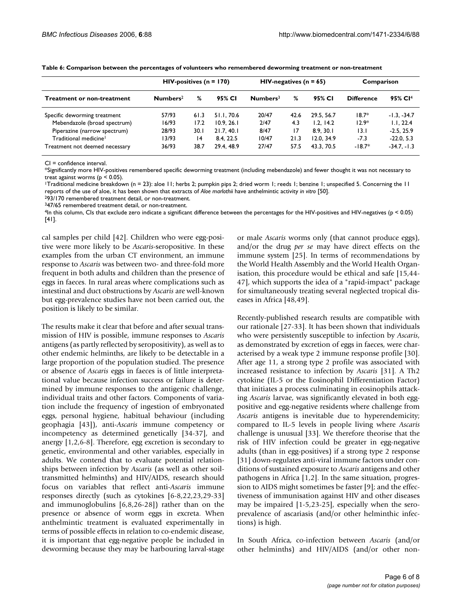|                                   | $HIV$ -positives (n = 170) |       |            | $HIV$ -negatives (n = 65) |      |            | Comparison        |                     |
|-----------------------------------|----------------------------|-------|------------|---------------------------|------|------------|-------------------|---------------------|
| <b>Treatment or non-treatment</b> | Numbers <sup>2</sup>       | %     | 95% CI     | Numbers <sup>3</sup>      | %    | 95% CI     | <b>Difference</b> | 95% CI <sup>4</sup> |
| Specific deworming treatment      | 57/93                      | 61.3  | 51.1, 70.6 | 20/47                     | 42.6 | 29.5, 56.7 | $18.7*$           | $-1.3. -34.7$       |
| Mebendazole (broad spectrum)      | 16/93                      | 17.2  | 10.9, 26.1 | 2/47                      | 4.3  | 1.2.14.2   | $12.9*$           | 1.1.22.4            |
| Piperazine (narrow spectrum)      | 28/93                      | 30. I | 21.7, 40.1 | 8/47                      | 17   | 8.9.30.1   | 13.1              | $-2.5.25.9$         |
| Traditional medicine <sup>1</sup> | 13/93                      | 14    | 8.4.22.5   | 10/47                     | 21.3 | 12.0.34.9  | $-7.3$            | $-22.0.5.3$         |
| Treatment not deemed necessary    | 36/93                      | 38.7  | 29.4, 48.9 | 27/47                     | 57.5 | 43.3.70.5  | $-18.7*$          | $-34.7. -1.3$       |

**Table 6: Comparison between the percentages of volunteers who remembered deworming treatment or non-treatment**

CI = confidence interval.

\*Significantly more HIV-positives remembered specific deworming treatment (including mebendazole) and fewer thought it was not necessary to treat against worms ( $p < 0.05$ ).

<sup>1</sup>Traditional medicine breakdown (n = 23): aloe 11; herbs 2; pumpkin pips 2; dried worm 1; reeds 1; benzine 1; unspecified 5. Concerning the 11 reports of the use of aloe, it has been shown that extracts of *Aloe marlothii* have anthelmintic activity *in vitro* [50].

293/170 remembered treatment detail, or non-treatment.

347/65 remembered treatment detail, or non-treatment.

 $4$ In this column, CIs that exclude zero indicate a significant difference between the percentages for the HIV-positives and HIV-negatives ( $p < 0.05$ ) [41].

cal samples per child [42]. Children who were egg-positive were more likely to be *Ascaris*-seropositive. In these examples from the urban CT environment, an immune response to *Ascaris* was between two- and three-fold more frequent in both adults and children than the presence of eggs in faeces. In rural areas where complications such as intestinal and duct obstructions by *Ascaris* are well-known but egg-prevalence studies have not been carried out, the position is likely to be similar.

The results make it clear that before and after sexual transmission of HIV is possible, immune responses to *Ascaris* antigens (as partly reflected by seropositivity), as well as to other endemic helminths, are likely to be detectable in a large proportion of the population studied. The presence or absence of *Ascaris* eggs in faeces is of little interpretational value because infection success or failure is determined by immune responses to the antigenic challenge, individual traits and other factors. Components of variation include the frequency of ingestion of embryonated eggs, personal hygiene, habitual behaviour (including geophagia [43]), anti-*Ascaris* immune competency or incompetency as determined genetically [34-37], and anergy [1,2,6-8]. Therefore, egg excretion is secondary to genetic, environmental and other variables, especially in adults. We contend that to evaluate potential relationships between infection by *Ascaris* (as well as other soiltransmitted helminths) and HIV/AIDS, research should focus on variables that reflect anti-*Ascaris* immune responses directly (such as cytokines [6-8,22,23,29-33] and immunoglobulins [6,8,26-28]) rather than on the presence or absence of worm eggs in excreta. When anthelmintic treatment is evaluated experimentally in terms of possible effects in relation to co-endemic disease, it is important that egg-negative people be included in deworming because they may be harbouring larval-stage or male *Ascaris* worms only (that cannot produce eggs), and/or the drug *per se* may have direct effects on the immune system [25]. In terms of recommendations by the World Health Assembly and the World Health Organisation, this procedure would be ethical and safe [15,44- 47], which supports the idea of a "rapid-impact" package for simultaneously treating several neglected tropical diseases in Africa [48,49].

Recently-published research results are compatible with our rationale [27-33]. It has been shown that individuals who were persistently susceptible to infection by *Ascaris*, as demonstrated by excretion of eggs in faeces, were characterised by a weak type 2 immune response profile [30]. After age 11, a strong type 2 profile was associated with increased resistance to infection by *Ascaris* [31]. A Th2 cytokine (IL-5 or the Eosinophil Differentiation Factor) that initiates a process culminating in eosinophils attacking *Ascaris* larvae, was significantly elevated in both eggpositive and egg-negative residents where challenge from *Ascaris* antigens is inevitable due to hyperendemicity; compared to IL-5 levels in people living where *Ascaris* challenge is unusual [33]. We therefore theorise that the risk of HIV infection could be greater in egg-negative adults (than in egg-positives) if a strong type 2 response [31] down-regulates anti-viral immune factors under conditions of sustained exposure to *Ascaris* antigens and other pathogens in Africa [1,2]. In the same situation, progression to AIDS might sometimes be faster [9]; and the effectiveness of immunisation against HIV and other diseases may be impaired [1-5,23-25], especially when the seroprevalence of ascariasis (and/or other helminthic infections) is high.

In South Africa, co-infection between *Ascaris* (and/or other helminths) and HIV/AIDS (and/or other non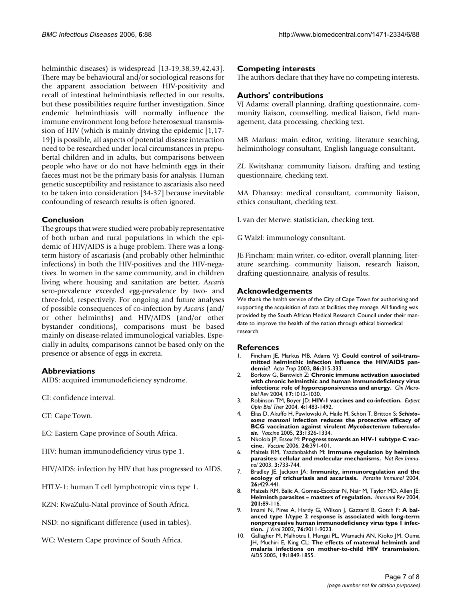helminthic diseases) is widespread [13-19,38,39,42,43]. There may be behavioural and/or sociological reasons for the apparent association between HIV-positivity and recall of intestinal helminthiasis reflected in our results, but these possibilities require further investigation. Since endemic helminthiasis will normally influence the immune environment long before heterosexual transmission of HIV (which is mainly driving the epidemic [1,17- 19]) is possible, all aspects of potential disease interaction need to be researched under local circumstances in prepubertal children and in adults, but comparisons between people who have or do not have helminth eggs in their faeces must not be the primary basis for analysis. Human genetic susceptibility and resistance to ascariasis also need to be taken into consideration [34-37] because inevitable confounding of research results is often ignored.

# **Conclusion**

The groups that were studied were probably representative of both urban and rural populations in which the epidemic of HIV/AIDS is a huge problem. There was a longterm history of ascariasis (and probably other helminthic infections) in both the HIV-positives and the HIV-negatives. In women in the same community, and in children living where housing and sanitation are better, *Ascaris* sero-prevalence exceeded egg-prevalence by two- and three-fold, respectively. For ongoing and future analyses of possible consequences of co-infection by *Ascaris* (and/ or other helminths) and HIV/AIDS (and/or other bystander conditions), comparisons must be based mainly on disease-related immunological variables. Especially in adults, comparisons cannot be based only on the presence or absence of eggs in excreta.

# **Abbreviations**

AIDS: acquired immunodeficiency syndrome.

- CI: confidence interval.
- CT: Cape Town.
- EC: Eastern Cape province of South Africa.
- HIV: human immunodeficiency virus type 1.
- HIV/AIDS: infection by HIV that has progressed to AIDS.
- HTLV-1: human T cell lymphotropic virus type 1.
- KZN: KwaZulu-Natal province of South Africa.
- NSD: no significant difference (used in tables).
- WC: Western Cape province of South Africa.

# **Competing interests**

The authors declare that they have no competing interests.

# **Authors' contributions**

VJ Adams: overall planning, drafting questionnaire, community liaison, counselling, medical liaison, field management, data processing, checking text.

MB Markus: main editor, writing, literature searching, helminthology consultant, English language consultant.

ZL Kwitshana: community liaison, drafting and testing questionnaire, checking text.

MA Dhansay: medical consultant, community liaison, ethics consultant, checking text.

L van der Merwe: statistician, checking text.

G Walzl: immunology consultant.

JE Fincham: main writer, co-editor, overall planning, literature searching, community liaison, research liaison, drafting questionnaire, analysis of results.

### **Acknowledgements**

We thank the health service of the City of Cape Town for authorising and supporting the acquisition of data at facilities they manage. All funding was provided by the South African Medical Research Council under their mandate to improve the health of the nation through ethical biomedical research.

#### **References**

- Fincham JE, Markus MB, Adams VJ: **[Could control of soil-trans](http://www.ncbi.nlm.nih.gov/entrez/query.fcgi?cmd=Retrieve&db=PubMed&dopt=Abstract&list_uids=12745148)[mitted helminthic infection influence the HIV/AIDS pan](http://www.ncbi.nlm.nih.gov/entrez/query.fcgi?cmd=Retrieve&db=PubMed&dopt=Abstract&list_uids=12745148)[demic?](http://www.ncbi.nlm.nih.gov/entrez/query.fcgi?cmd=Retrieve&db=PubMed&dopt=Abstract&list_uids=12745148)** *Acta Trop* 2003, **86:**315-333.
- 2. Borkow G, Bentwich Z: **[Chronic immune activation associated](http://www.ncbi.nlm.nih.gov/entrez/query.fcgi?cmd=Retrieve&db=PubMed&dopt=Abstract&list_uids=15489359) [with chronic helminthic and human immunodeficiency virus](http://www.ncbi.nlm.nih.gov/entrez/query.fcgi?cmd=Retrieve&db=PubMed&dopt=Abstract&list_uids=15489359) [infections: role of hyporesponsiveness and anergy.](http://www.ncbi.nlm.nih.gov/entrez/query.fcgi?cmd=Retrieve&db=PubMed&dopt=Abstract&list_uids=15489359)** *Clin Microbiol Rev* 2004, **17:**1012-1030.
- 3. Robinson TM, Boyer JD: **[HIV-1 vaccines and co-infection.](http://www.ncbi.nlm.nih.gov/entrez/query.fcgi?cmd=Retrieve&db=PubMed&dopt=Abstract&list_uids=15335315)** *Expert Opin Biol Ther* 2004, **4:**1483-1492.
- 4. Elias D, Akuffo H, Pawlowski A, Haile M, Schön T, Britton S: *Schistosoma mansoni* **infection reduces the protective efficacy of BCG vaccination against virulent** *Mycobacterium tuberculosis***[.](http://www.ncbi.nlm.nih.gov/entrez/query.fcgi?cmd=Retrieve&db=PubMed&dopt=Abstract&list_uids=15661380)** *Vaccine* 2005, **23:**1326-1334.
- 5. Nkolola JP, Essex M: **[Progress towards an HIV-1 subtype C vac](http://www.ncbi.nlm.nih.gov/entrez/query.fcgi?cmd=Retrieve&db=PubMed&dopt=Abstract&list_uids=16139396)[cine.](http://www.ncbi.nlm.nih.gov/entrez/query.fcgi?cmd=Retrieve&db=PubMed&dopt=Abstract&list_uids=16139396)** *Vaccine* 2006, **24:**391-401.
- 6. Maizels RM, Yazdanbakhsh M: **[Immune regulation by helminth](http://www.ncbi.nlm.nih.gov/entrez/query.fcgi?cmd=Retrieve&db=PubMed&dopt=Abstract&list_uids=12949497) [parasites: cellular and molecular mechanisms.](http://www.ncbi.nlm.nih.gov/entrez/query.fcgi?cmd=Retrieve&db=PubMed&dopt=Abstract&list_uids=12949497)** *Nat Rev Immunol* 2003, **3:**733-744.
- 7. Bradley JE, Jackson JA: **[Immunity, immunoregulation and the](http://www.ncbi.nlm.nih.gov/entrez/query.fcgi?cmd=Retrieve&db=PubMed&dopt=Abstract&list_uids=15771679) [ecology of trichuriasis and ascariasis.](http://www.ncbi.nlm.nih.gov/entrez/query.fcgi?cmd=Retrieve&db=PubMed&dopt=Abstract&list_uids=15771679)** *Parasite Immunol* 2004, **26:**429-441.
- 8. Maizels RM, Balic A, Gomez-Escobar N, Nair M, Taylor MD, Allen JE: **[Helminth parasites – masters of regulation.](http://www.ncbi.nlm.nih.gov/entrez/query.fcgi?cmd=Retrieve&db=PubMed&dopt=Abstract&list_uids=15361235)** *Immunol Rev* 2004, **201:**89-116.
- 9. Imami N, Pires A, Hardy G, Wilson J, Gazzard B, Gotch F: **[A bal](http://www.ncbi.nlm.nih.gov/entrez/query.fcgi?cmd=Retrieve&db=PubMed&dopt=Abstract&list_uids=12186885)anced type 1/type 2 response is associated with long-term [nonprogressive human immunodeficiency virus type 1 infec](http://www.ncbi.nlm.nih.gov/entrez/query.fcgi?cmd=Retrieve&db=PubMed&dopt=Abstract&list_uids=12186885)[tion.](http://www.ncbi.nlm.nih.gov/entrez/query.fcgi?cmd=Retrieve&db=PubMed&dopt=Abstract&list_uids=12186885)** *J Virol* 2002, **76:**9011-9023.
- 10. Gallagher M, Malhotra I, Mungai PL, Wamachi AN, Kioko JM, Ouma JH, Muchiri E, King CL: **[The effects of maternal helminth and](http://www.ncbi.nlm.nih.gov/entrez/query.fcgi?cmd=Retrieve&db=PubMed&dopt=Abstract&list_uids=16227793) [malaria infections on mother-to-child HIV transmission.](http://www.ncbi.nlm.nih.gov/entrez/query.fcgi?cmd=Retrieve&db=PubMed&dopt=Abstract&list_uids=16227793)** *AIDS* 2005, **19:**1849-1855.